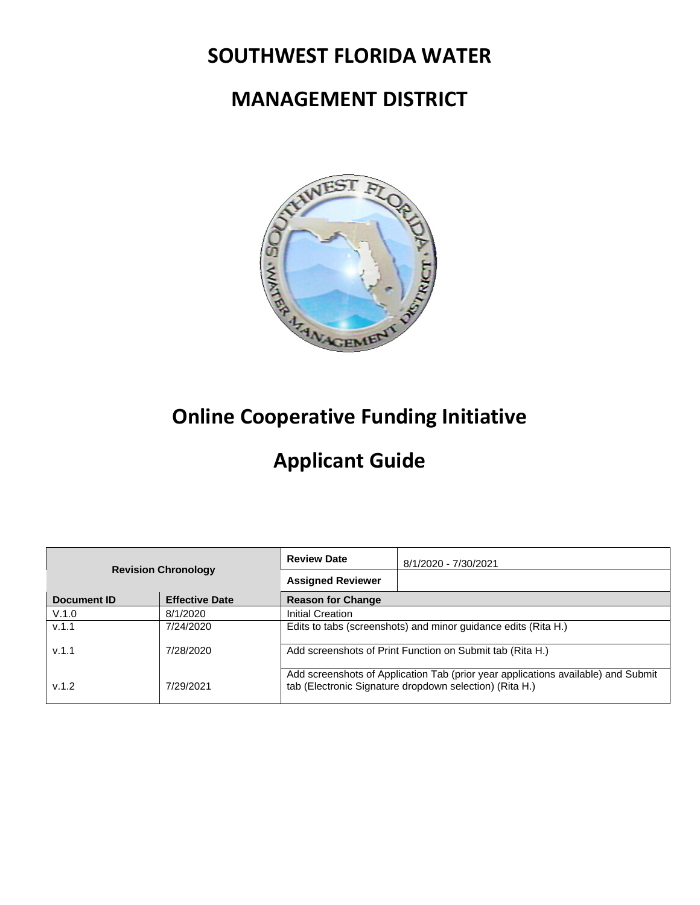# **SOUTHWEST FLORIDA WATER**

# **MANAGEMENT DISTRICT**



# **Online Cooperative Funding Initiative**

# **Applicant Guide**

| <b>Revision Chronology</b> |                       | <b>Review Date</b>       | 8/1/2020 - 7/30/2021                                                                                                                         |
|----------------------------|-----------------------|--------------------------|----------------------------------------------------------------------------------------------------------------------------------------------|
|                            |                       | <b>Assigned Reviewer</b> |                                                                                                                                              |
| Document ID                | <b>Effective Date</b> | <b>Reason for Change</b> |                                                                                                                                              |
| V.1.0                      | 8/1/2020              | Initial Creation         |                                                                                                                                              |
| v.1.1                      | 7/24/2020             |                          | Edits to tabs (screenshots) and minor guidance edits (Rita H.)                                                                               |
| v.1.1                      | 7/28/2020             |                          | Add screenshots of Print Function on Submit tab (Rita H.)                                                                                    |
| V.1.2                      | 7/29/2021             |                          | Add screenshots of Application Tab (prior year applications available) and Submit<br>tab (Electronic Signature dropdown selection) (Rita H.) |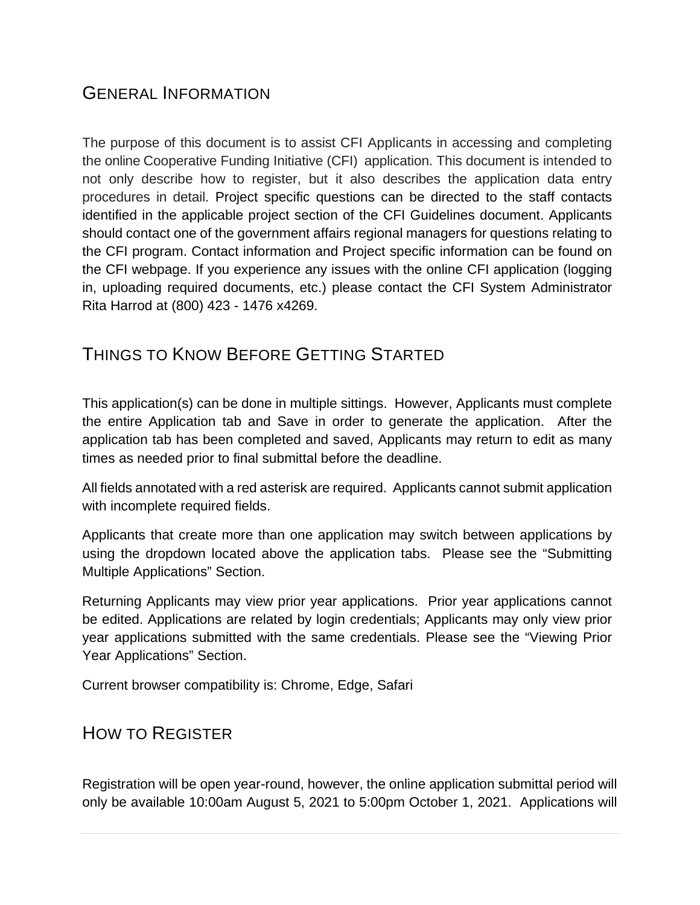### <span id="page-2-0"></span>GENERAL INFORMATION

The purpose of this document is to assist CFI Applicants in accessing and completing the online Cooperative Funding Initiative (CFI) application. This document is intended to not only describe how to register, but it also describes the application data entry procedures in detail. Project specific questions can be directed to the staff contacts identified in the applicable project section of the CFI Guidelines document. Applicants should contact one of the government affairs regional managers for questions relating to the CFI program. Contact information and Project specific information can be found on the CFI webpage. If you experience any issues with the online CFI application (logging in, uploading required documents, etc.) please contact the CFI System Administrator Rita Harrod at (800) 423 - 1476 x4269.

### <span id="page-2-1"></span>THINGS TO KNOW BEFORE GETTING STARTED

This application(s) can be done in multiple sittings. However, Applicants must complete the entire Application tab and Save in order to generate the application. After the application tab has been completed and saved, Applicants may return to edit as many times as needed prior to final submittal before the deadline.

All fields annotated with a red asterisk are required. Applicants cannot submit application with incomplete required fields.

Applicants that create more than one application may switch between applications by using the dropdown located above the application tabs. Please see the "Submitting Multiple Applications" Section.

Returning Applicants may view prior year applications. Prior year applications cannot be edited. Applications are related by login credentials; Applicants may only view prior year applications submitted with the same credentials. Please see the "Viewing Prior Year Applications" Section.

Current browser compatibility is: Chrome, Edge, Safari

### <span id="page-2-2"></span>HOW TO REGISTER

Registration will be open year-round, however, the online application submittal period will only be available 10:00am August 5, 2021 to 5:00pm October 1, 2021. Applications will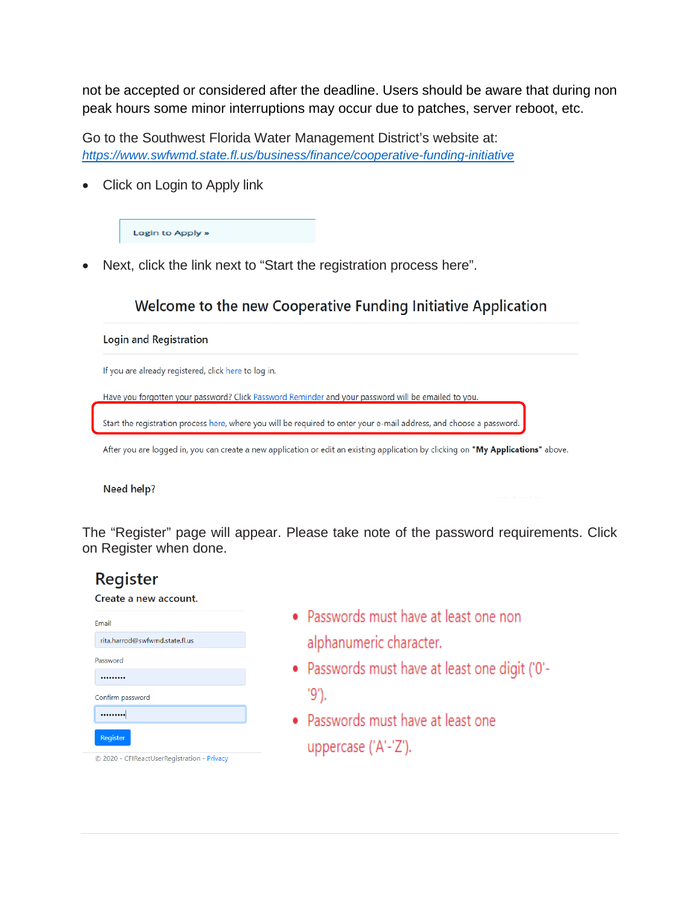not be accepted or considered after the deadline. Users should be aware that during non peak hours some minor interruptions may occur due to patches, server reboot, etc.

Go to the Southwest Florida Water Management District's website at: *<https://www.swfwmd.state.fl.us/business/finance/cooperative-funding-initiative>*

• Click on Login to Apply link

Login to Apply »

• Next, click the link next to "Start the registration process here".

### Welcome to the new Cooperative Funding Initiative Application

#### Login and Registration

If you are already registered, click here to log in.

Have you forgotten your password? Click Password Reminder and your password will be emailed to you.

Start the registration process here, where you will be required to enter your e-mail address, and choose a password.

After you are logged in, you can create a new application or edit an existing application by clicking on "My Applications" above.

Need help?

The "Register" page will appear. Please take note of the password requirements. Click on Register when done.

### **Register**

Create a new account.

| Email                          |
|--------------------------------|
| rita.harrod@swfwmd.state.fl.us |
| Password                       |
|                                |
| Confirm password               |
|                                |
| <b>Register</b>                |

© 2020 - CFIReactUserRegistration - Privacy

- Passwords must have at least one non alphanumeric character.
- Passwords must have at least one digit ('0'- $'9'.$
- Passwords must have at least one uppercase ('A'-'Z').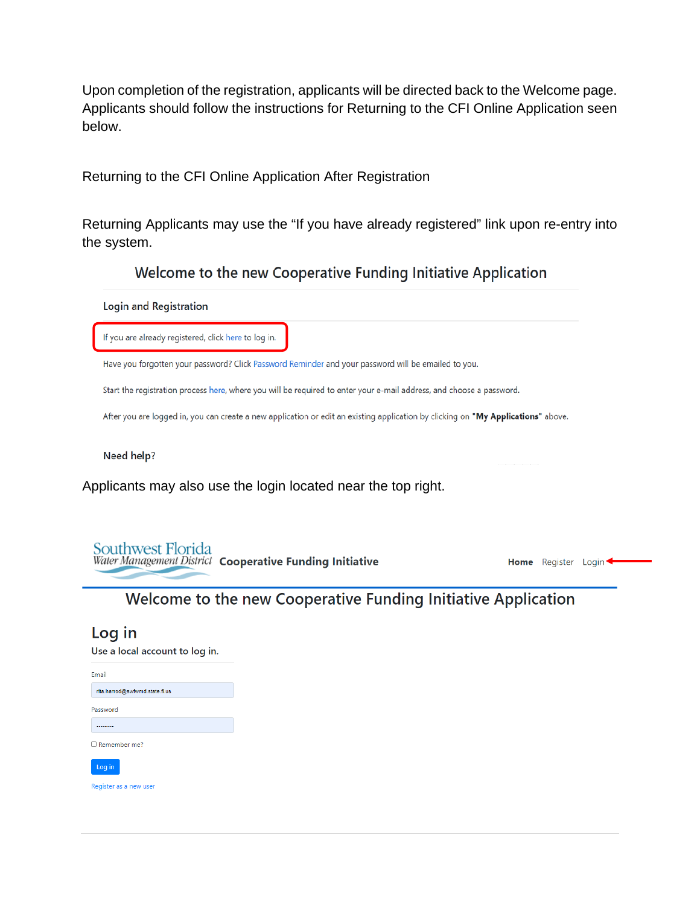Upon completion of the registration, applicants will be directed back to the Welcome page. Applicants should follow the instructions for Returning to the CFI Online Application seen below.

<span id="page-4-0"></span>Returning to the CFI Online Application After Registration

Returning Applicants may use the "If you have already registered" link upon re-entry into the system.

Welcome to the new Cooperative Funding Initiative Application



Use a local account to log in.

| Email                          |
|--------------------------------|
| rita.harrod@swfwmd.state.fl.us |
| Password                       |
|                                |
| $\Box$ Remember me?            |
| Log in                         |

Register as a new user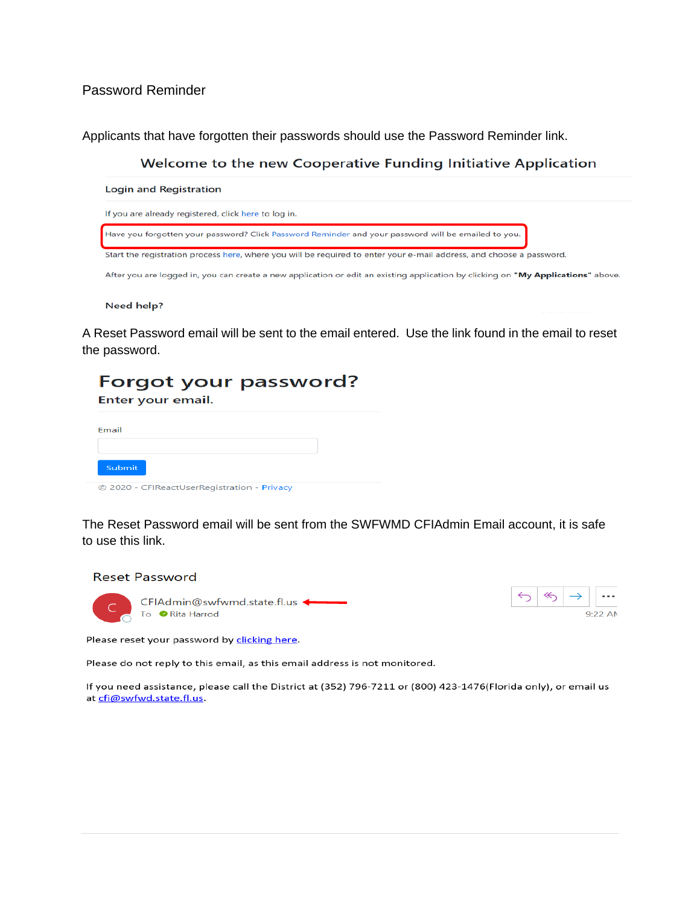<span id="page-5-0"></span>Password Reminder

Applicants that have forgotten their passwords should use the Password Reminder link.

Welcome to the new Cooperative Funding Initiative Application



Need help?

A Reset Password email will be sent to the email entered. Use the link found in the email to reset the password.

| Forgot your password?<br>Enter your email.  |  |
|---------------------------------------------|--|
| Email                                       |  |
| Submit                                      |  |
| © 2020 - CFIReactUserRegistration - Privacy |  |

The Reset Password email will be sent from the SWFWMD CFIAdmin Email account, it is safe to use this link.



 $9.22 A$ 

Please do not reply to this email, as this email address is not monitored.

If you need assistance, please call the District at (352) 796-7211 or (800) 423-1476(Florida only), or email us at cfi@swfwd.state.fl.us.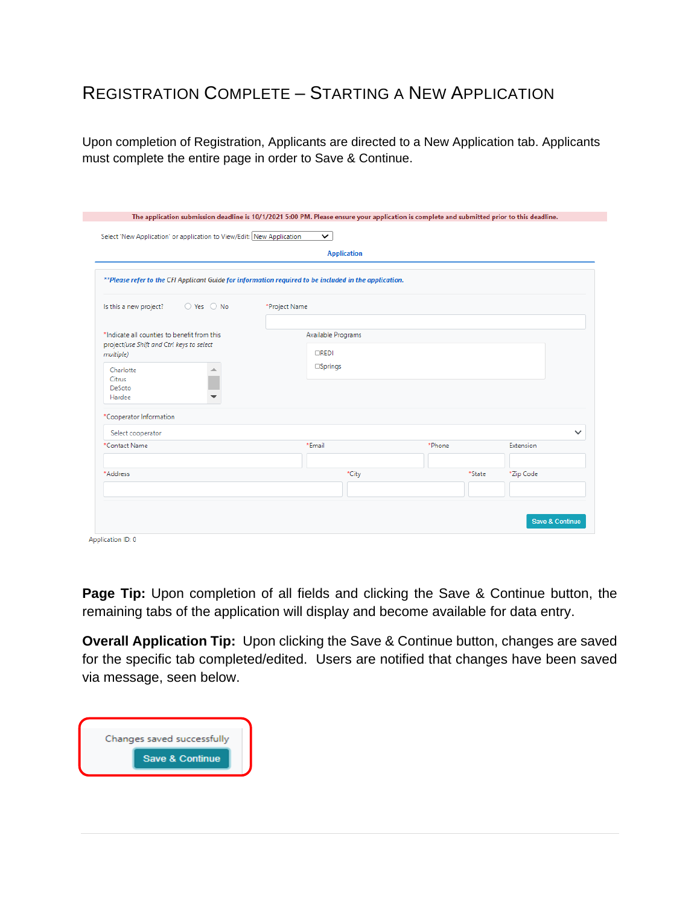### <span id="page-6-0"></span>REGISTRATION COMPLETE – STARTING A NEW APPLICATION

Upon completion of Registration, Applicants are directed to a New Application tab. Applicants must complete the entire page in order to Save & Continue.

|                                                                                                       |               | <b>Application</b> |        |              |
|-------------------------------------------------------------------------------------------------------|---------------|--------------------|--------|--------------|
| **Please refer to the CFI Applicant Guide for information required to be included in the application. |               |                    |        |              |
| Is this a new project?<br>O Yes  O No                                                                 | *Project Name |                    |        |              |
| *Indicate all counties to benefit from this                                                           |               | Available Programs |        |              |
| project(use Shift and Ctrl keys to select<br>multiple)                                                | <b>CREDI</b>  |                    |        |              |
| Charlotte<br>∸<br>Citrus<br>DeSoto<br>Hardee<br>▼                                                     |               | <b>Springs</b>     |        |              |
| *Cooperator Information                                                                               |               |                    |        |              |
| Select cooperator                                                                                     |               |                    |        | $\checkmark$ |
| *Contact Name                                                                                         | *Email        |                    | *Phone | Extension    |
| *Address                                                                                              |               | *City              | *State | *Zip Code    |
|                                                                                                       |               |                    |        |              |

Application ID: 0

**Page Tip:** Upon completion of all fields and clicking the Save & Continue button, the remaining tabs of the application will display and become available for data entry.

**Overall Application Tip:** Upon clicking the Save & Continue button, changes are saved for the specific tab completed/edited. Users are notified that changes have been saved via message, seen below.

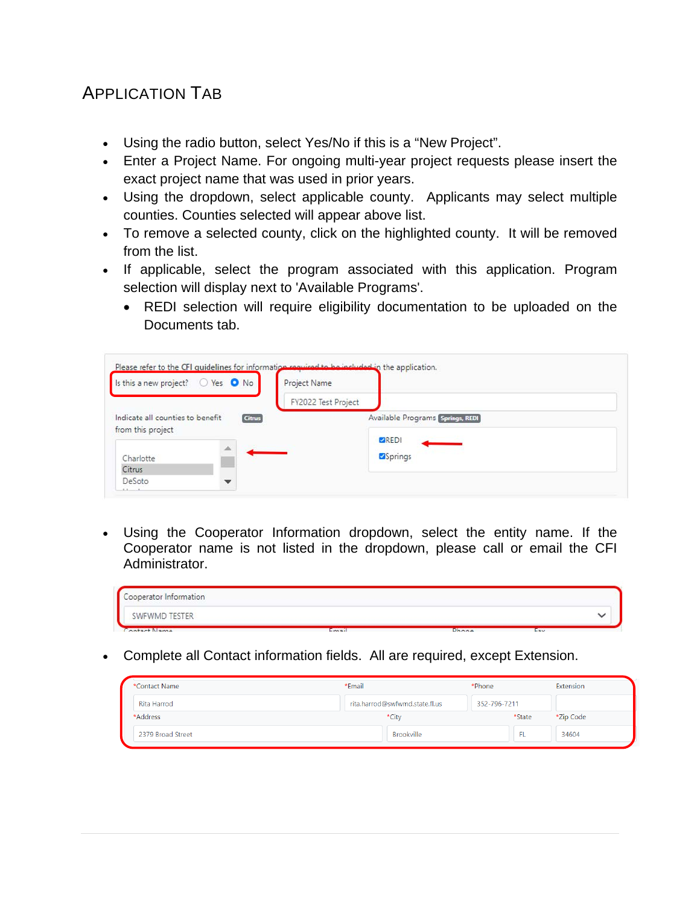### <span id="page-7-0"></span>APPLICATION TAB

- Using the radio button, select Yes/No if this is a "New Project".
- Enter a Project Name. For ongoing multi-year project requests please insert the exact project name that was used in prior years.
- Using the dropdown, select applicable county. Applicants may select multiple counties. Counties selected will appear above list.
- To remove a selected county, click on the highlighted county. It will be removed from the list.
- If applicable, select the program associated with this application. Program selection will display next to 'Available Programs'.
	- REDI selection will require eligibility documentation to be uploaded on the Documents tab.

| Is this a new project? $\bigcirc$ Yes $\bigcirc$ No |               | Project Name        |                                  |
|-----------------------------------------------------|---------------|---------------------|----------------------------------|
|                                                     |               | FY2022 Test Project |                                  |
| Indicate all counties to benefit                    | <b>Citrus</b> |                     | Available Programs Springs, REDI |
| from this project                                   |               |                     | <b>ZREDI</b>                     |
| Charlotte                                           |               |                     | Springs                          |
| Citrus                                              |               |                     |                                  |
| DeSoto                                              |               |                     |                                  |

• Using the Cooperator Information dropdown, select the entity name. If the Cooperator name is not listed in the dropdown, please call or email the CFI Administrator.

| Cooperator Information |       |       |            |  |
|------------------------|-------|-------|------------|--|
| SWFWMD TESTER          |       |       |            |  |
| ontact Name            | Email | Dhone | <b>Fav</b> |  |

• Complete all Contact information fields. All are required, except Extension.

| *Contact Name     | *Email                         | *Phone       | Extension |
|-------------------|--------------------------------|--------------|-----------|
| Rita Harrod       | rita.harrod@swfwmd.state.fl.us | 352-796-7211 |           |
| *Address          | *City                          | *State       | *Zip Code |
| 2379 Broad Street | <b>Brookville</b>              | FL           | 34604     |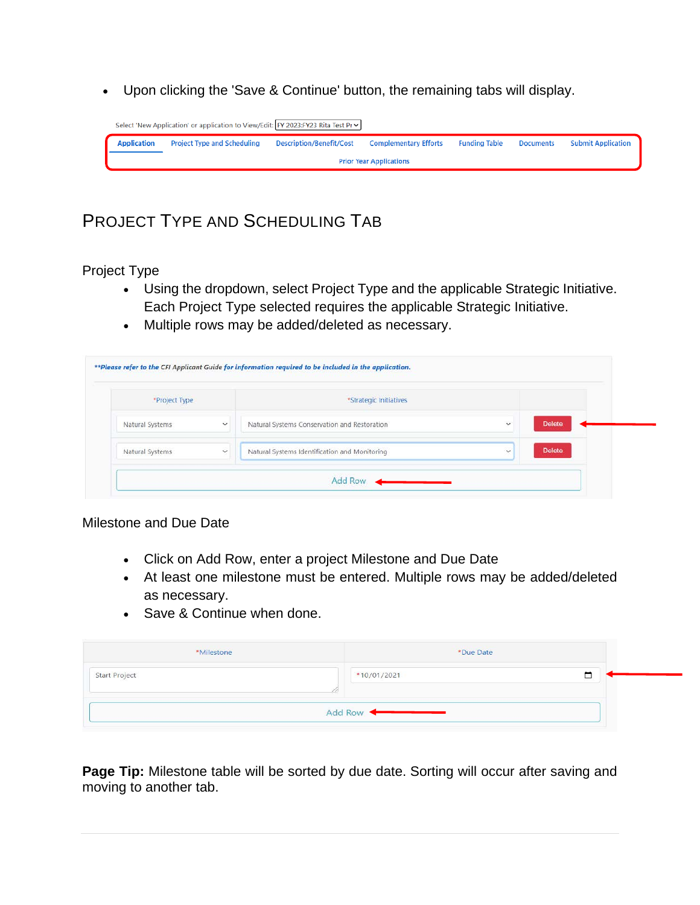• Upon clicking the 'Save & Continue' button, the remaining tabs will display.

|                                | Select 'New Application' or application to View/Edit: FY 2023:FY23 Rita Test Pr v |                                 |                              |                      |                  |                           |  |
|--------------------------------|-----------------------------------------------------------------------------------|---------------------------------|------------------------------|----------------------|------------------|---------------------------|--|
| <b>Application</b>             | <b>Project Type and Scheduling</b>                                                | <b>Description/Benefit/Cost</b> | <b>Complementary Efforts</b> | <b>Funding Table</b> | <b>Documents</b> | <b>Submit Application</b> |  |
| <b>Prior Year Applications</b> |                                                                                   |                                 |                              |                      |                  |                           |  |

### <span id="page-8-0"></span>PROJECT TYPE AND SCHEDULING TAB

<span id="page-8-1"></span>Project Type

- Using the dropdown, select Project Type and the applicable Strategic Initiative. Each Project Type selected requires the applicable Strategic Initiative.
- Multiple rows may be added/deleted as necessary.

| *Project Type   |              | *Strategic Initiatives                        |              |               |  |
|-----------------|--------------|-----------------------------------------------|--------------|---------------|--|
| Natural Systems | $\ddot{}$    | Natural Systems Conservation and Restoration  | $\sim$       | <b>Delete</b> |  |
| Natural Systems | $\checkmark$ | Natural Systems Identification and Monitoring | $\checkmark$ | Delete        |  |

#### <span id="page-8-2"></span>Milestone and Due Date

- Click on Add Row, enter a project Milestone and Due Date
- At least one milestone must be entered. Multiple rows may be added/deleted as necessary.
- Save & Continue when done.

| *Milestone    | *Due Date   |  |
|---------------|-------------|--|
| Start Project | *10/01/2021 |  |
|               | Add Row     |  |

Page Tip: Milestone table will be sorted by due date. Sorting will occur after saving and moving to another tab.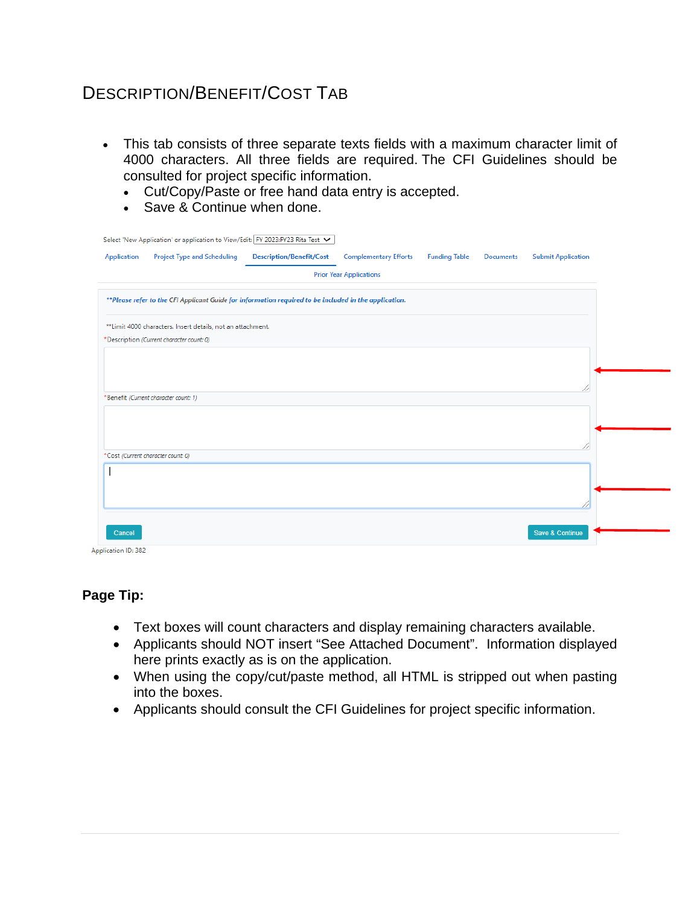### <span id="page-9-0"></span>DESCRIPTION/BENEFIT/COST TAB

- This tab consists of three separate texts fields with a maximum character limit of 4000 characters. All three fields are required. The CFI Guidelines should be consulted for project specific information.
	- Cut/Copy/Paste or free hand data entry is accepted.
	- Save & Continue when done.

|             | Select 'New Application' or application to View/Edit: FY 2023:FY23 Rita Test V                        |                                 |                                |                      |                  |                           |
|-------------|-------------------------------------------------------------------------------------------------------|---------------------------------|--------------------------------|----------------------|------------------|---------------------------|
| Application | <b>Project Type and Scheduling</b>                                                                    | <b>Description/Benefit/Cost</b> | <b>Complementary Efforts</b>   | <b>Funding Table</b> | <b>Documents</b> | <b>Submit Application</b> |
|             |                                                                                                       |                                 | <b>Prior Year Applications</b> |                      |                  |                           |
|             | **Please refer to the CFI Applicant Guide for information required to be included in the application. |                                 |                                |                      |                  |                           |
|             | **Limit 4000 characters. Insert details, not an attachment.                                           |                                 |                                |                      |                  |                           |
|             | *Description (Current character count: 0)                                                             |                                 |                                |                      |                  |                           |
|             |                                                                                                       |                                 |                                |                      |                  |                           |
|             |                                                                                                       |                                 |                                |                      |                  |                           |
|             | *Benefit (Current character count: 1)                                                                 |                                 |                                |                      |                  |                           |
|             |                                                                                                       |                                 |                                |                      |                  |                           |
|             |                                                                                                       |                                 |                                |                      |                  |                           |
|             |                                                                                                       |                                 |                                |                      |                  |                           |
|             | *Cost (Current character count: 0)                                                                    |                                 |                                |                      |                  |                           |
|             |                                                                                                       |                                 |                                |                      |                  |                           |
|             |                                                                                                       |                                 |                                |                      |                  |                           |
|             |                                                                                                       |                                 |                                |                      |                  |                           |
|             |                                                                                                       |                                 |                                |                      |                  |                           |
| Cancel      |                                                                                                       |                                 |                                |                      |                  | Save & Continue           |

Application ID: 382

#### **Page Tip:**

- Text boxes will count characters and display remaining characters available.
- Applicants should NOT insert "See Attached Document". Information displayed here prints exactly as is on the application.
- When using the copy/cut/paste method, all HTML is stripped out when pasting into the boxes.
- Applicants should consult the CFI Guidelines for project specific information.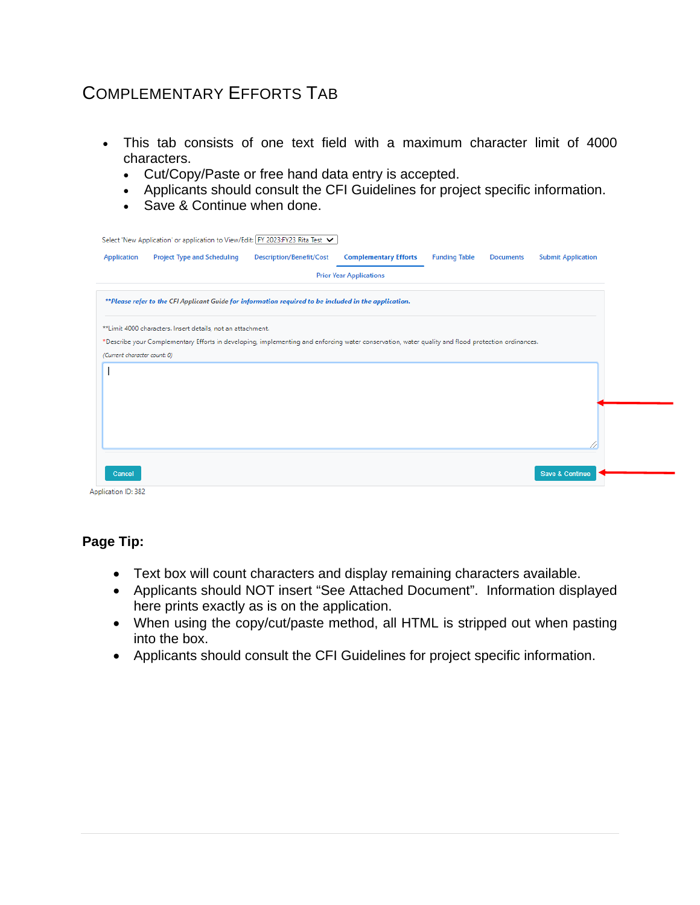### <span id="page-10-0"></span>COMPLEMENTARY EFFORTS TAB

- This tab consists of one text field with a maximum character limit of 4000 characters.
	- Cut/Copy/Paste or free hand data entry is accepted.
	- Applicants should consult the CFI Guidelines for project specific information.
	- Save & Continue when done.

| <b>Description/Benefit/Cost</b><br><b>Complementary Efforts</b><br><b>Application</b><br><b>Project Type and Scheduling</b><br><b>Funding Table</b><br><b>Submit Application</b><br><b>Documents</b><br><b>Prior Year Applications</b> |
|----------------------------------------------------------------------------------------------------------------------------------------------------------------------------------------------------------------------------------------|
|                                                                                                                                                                                                                                        |
|                                                                                                                                                                                                                                        |
| **Please refer to the CFI Applicant Guide for information required to be included in the application.                                                                                                                                  |
| **Limit 4000 characters. Insert details, not an attachment.                                                                                                                                                                            |
| *Describe your Complementary Efforts in developing, implementing and enforcing water conservation, water quality and flood protection ordinances.                                                                                      |
| (Current character count: 0)                                                                                                                                                                                                           |
|                                                                                                                                                                                                                                        |
|                                                                                                                                                                                                                                        |
|                                                                                                                                                                                                                                        |
|                                                                                                                                                                                                                                        |
|                                                                                                                                                                                                                                        |
|                                                                                                                                                                                                                                        |
|                                                                                                                                                                                                                                        |
| <b>Save &amp; Continue</b><br>Cancel                                                                                                                                                                                                   |
| Application ID: 382                                                                                                                                                                                                                    |

**Page Tip:**

- Text box will count characters and display remaining characters available.
- Applicants should NOT insert "See Attached Document". Information displayed here prints exactly as is on the application.
- When using the copy/cut/paste method, all HTML is stripped out when pasting into the box.
- Applicants should consult the CFI Guidelines for project specific information.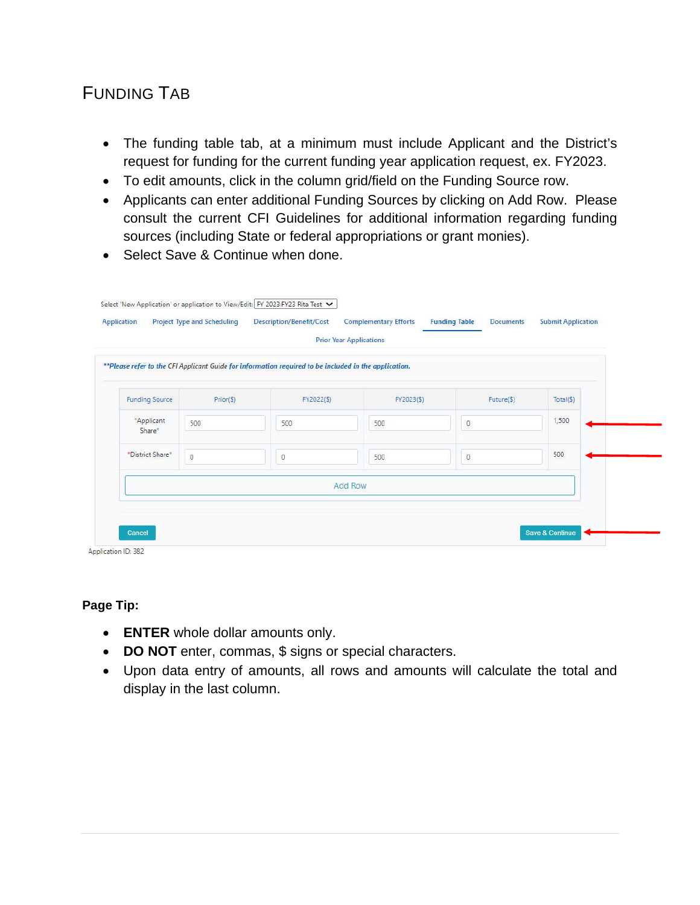## <span id="page-11-0"></span>FUNDING TAB

- The funding table tab, at a minimum must include Applicant and the District's request for funding for the current funding year application request, ex. FY2023.
- To edit amounts, click in the column grid/field on the Funding Source row.
- Applicants can enter additional Funding Sources by clicking on Add Row. Please consult the current CFI Guidelines for additional information regarding funding sources (including State or federal appropriations or grant monies).
- Select Save & Continue when done.

|                       |              | **Please refer to the CFI Applicant Guide for information required to be included in the application. |            |              |           |  |  |  |
|-----------------------|--------------|-------------------------------------------------------------------------------------------------------|------------|--------------|-----------|--|--|--|
| <b>Funding Source</b> | $Prior(\$))$ | FY2022(\$)                                                                                            | FY2023(\$) | Future(\$)   | Total(\$) |  |  |  |
| *Applicant<br>Share*  | 500          | 500                                                                                                   | 500        | $\mathbf 0$  | 1,500     |  |  |  |
| *District Share*      | $\circ$      | $\circ$                                                                                               | 500        | $\mathbf{0}$ | 500       |  |  |  |
| <b>Add Row</b>        |              |                                                                                                       |            |              |           |  |  |  |

**Page Tip:**

- **ENTER** whole dollar amounts only.
- **DO NOT** enter, commas, \$ signs or special characters.
- Upon data entry of amounts, all rows and amounts will calculate the total and display in the last column.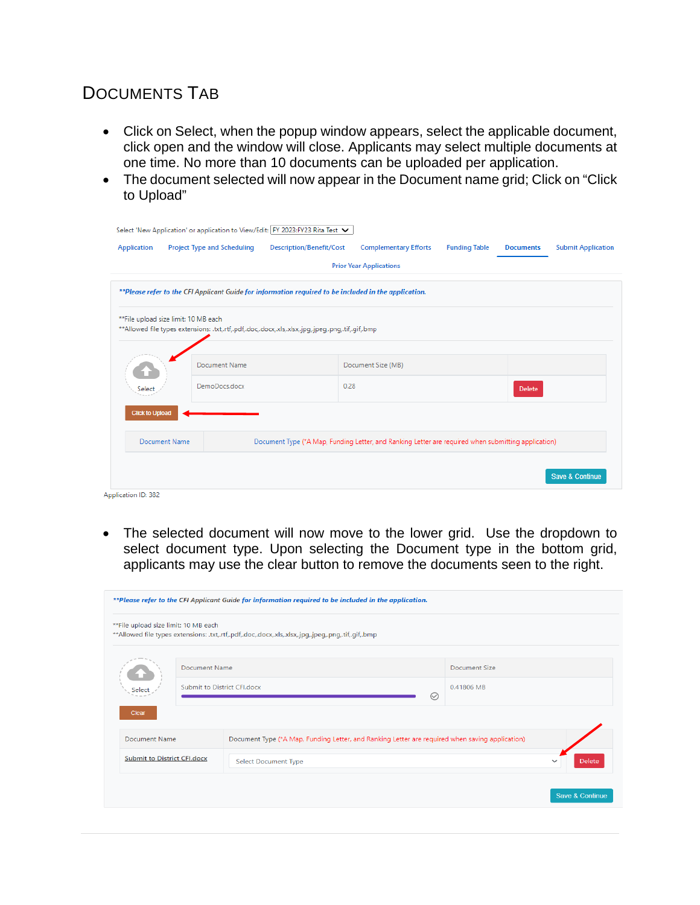## <span id="page-12-0"></span>DOCUMENTS TAB

- Click on Select, when the popup window appears, select the applicable document, click open and the window will close. Applicants may select multiple documents at one time. No more than 10 documents can be uploaded per application.
- The document selected will now appear in the Document name grid; Click on "Click to Upload"

| <b>Application</b>     | <b>Project Type and Scheduling</b>                                                                    | <b>Description/Benefit/Cost</b>                                                                     | <b>Complementary Efforts</b>   | <b>Funding Table</b> | <b>Documents</b> | <b>Submit Application</b> |
|------------------------|-------------------------------------------------------------------------------------------------------|-----------------------------------------------------------------------------------------------------|--------------------------------|----------------------|------------------|---------------------------|
|                        |                                                                                                       |                                                                                                     | <b>Prior Year Applications</b> |                      |                  |                           |
|                        | **Please refer to the CFI Applicant Guide for information required to be included in the application. |                                                                                                     |                                |                      |                  |                           |
|                        | **File upload size limit: 10 MB each                                                                  |                                                                                                     |                                |                      |                  |                           |
|                        | **Allowed file types extensions: .txt,.rtf,.pdf,.doc,.docx,.xls,.xlsx,.jpg,.jpeg,.png,.tif,.gif,.bmp  |                                                                                                     |                                |                      |                  |                           |
|                        |                                                                                                       |                                                                                                     |                                |                      |                  |                           |
|                        | Document Name                                                                                         |                                                                                                     | Document Size (MB)             |                      |                  |                           |
| Select                 | DemoDocs.docx                                                                                         | 0.28                                                                                                |                                |                      | <b>Delete</b>    |                           |
| <b>Click to Upload</b> |                                                                                                       |                                                                                                     |                                |                      |                  |                           |
|                        |                                                                                                       |                                                                                                     |                                |                      |                  |                           |
|                        | Document Name                                                                                         | Document Type (*A Map, Funding Letter, and Ranking Letter are required when submitting application) |                                |                      |                  |                           |

- Application ID: 382
- The selected document will now move to the lower grid. Use the dropdown to select document type. Upon selecting the Document type in the bottom grid, applicants may use the clear button to remove the documents seen to the right.

| **File upload size limit: 10 MB each |                      | **Allowed file types extensions: .txt,.rtf,.pdf,.doc,.docx,.xls,.xlsx,.jpg,.jpeg,.png,.tif,.gif,.bmp |               |  |  |
|--------------------------------------|----------------------|------------------------------------------------------------------------------------------------------|---------------|--|--|
|                                      | <b>Document Name</b> |                                                                                                      | Document Size |  |  |
| Select                               |                      | Submit to District CFI.docx<br>⊘                                                                     | 0.41806 MB    |  |  |
| Clear<br><b>Document Name</b>        |                      | Document Type (*A Map, Funding Letter, and Ranking Letter are required when saving application)      |               |  |  |
| <b>Submit to District CFI.docx</b>   |                      | <b>Select Document Type</b>                                                                          | <b>Delete</b> |  |  |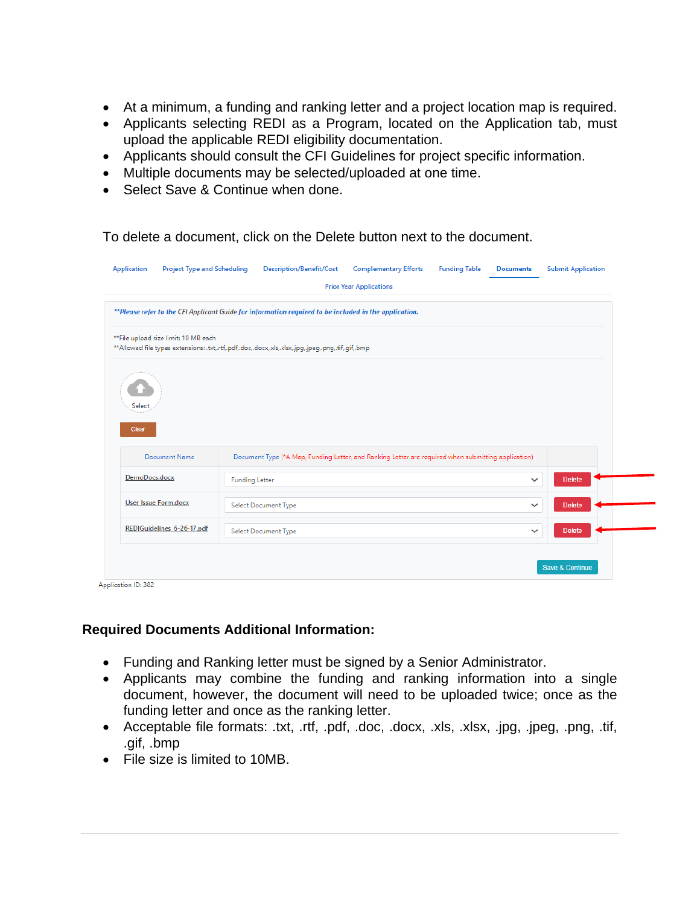- At a minimum, a funding and ranking letter and a project location map is required.
- Applicants selecting REDI as a Program, located on the Application tab, must upload the applicable REDI eligibility documentation.
- Applicants should consult the CFI Guidelines for project specific information.
- Multiple documents may be selected/uploaded at one time.
- Select Save & Continue when done.

To delete a document, click on the Delete button next to the document.

|                                                                                                                                               |                       | **Please refer to the CFI Applicant Guide for information required to be included in the application. |                                                                                                     |              |               |  |
|-----------------------------------------------------------------------------------------------------------------------------------------------|-----------------------|-------------------------------------------------------------------------------------------------------|-----------------------------------------------------------------------------------------------------|--------------|---------------|--|
| ** File upload size limit: 10 MB each<br>**Allowed file types extensions: .txt,.rtf,.pdf,.doc,.docx,.xls,.xlsx,.jpg,.jpeg,.png,.tif,.gif,.bmp |                       |                                                                                                       |                                                                                                     |              |               |  |
|                                                                                                                                               |                       |                                                                                                       |                                                                                                     |              |               |  |
| Select                                                                                                                                        |                       |                                                                                                       |                                                                                                     |              |               |  |
|                                                                                                                                               |                       |                                                                                                       |                                                                                                     |              |               |  |
| Clear                                                                                                                                         |                       |                                                                                                       |                                                                                                     |              |               |  |
| <b>Document Name</b>                                                                                                                          |                       |                                                                                                       | Document Type (*A Map, Funding Letter, and Ranking Letter are required when submitting application) |              |               |  |
| DemoDocs.docx                                                                                                                                 | <b>Funding Letter</b> |                                                                                                       |                                                                                                     | $\checkmark$ | <b>Delete</b> |  |
| <b>User Issue Form.docx</b>                                                                                                                   |                       | <b>Select Document Type</b>                                                                           |                                                                                                     | $\checkmark$ | <b>Delete</b> |  |

#### **Required Documents Additional Information:**

- Funding and Ranking letter must be signed by a Senior Administrator.
- Applicants may combine the funding and ranking information into a single document, however, the document will need to be uploaded twice; once as the funding letter and once as the ranking letter.
- Acceptable file formats: .txt, .rtf, .pdf, .doc, .docx, .xls, .xlsx, .jpg, .jpeg, .png, .tif, .gif, .bmp
- File size is limited to 10MB.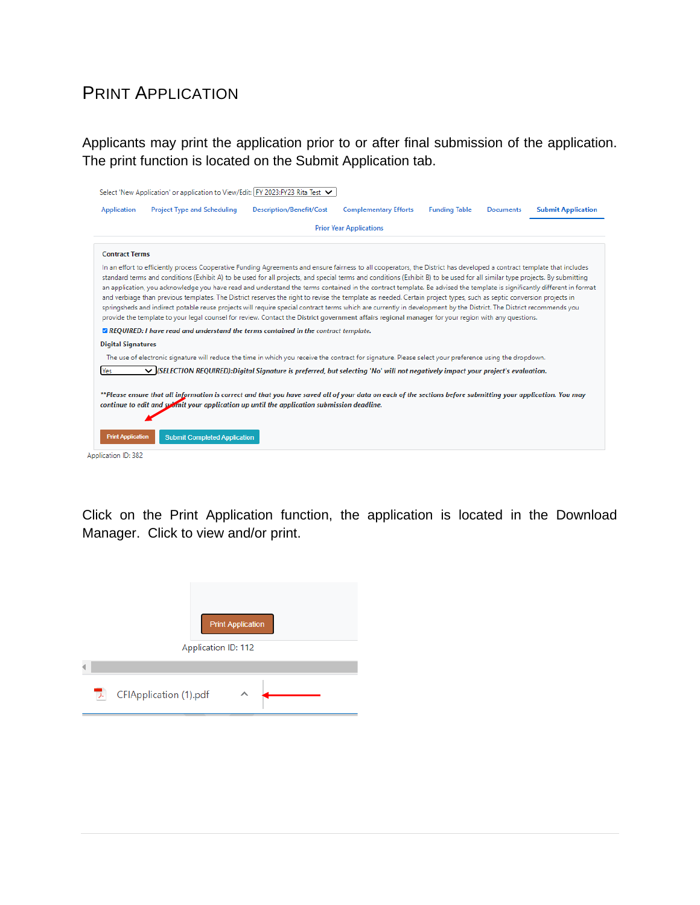### <span id="page-14-0"></span>PRINT APPLICATION

Applicants may print the application prior to or after final submission of the application. The print function is located on the Submit Application tab.

| <b>Application</b>        | <b>Project Type and Scheduling</b>                                                                                                                                                                                                                                                                                                                                                                                                                                                                                                                                                                                                                                                                                                                                                                                                                                                                                                                                                                                                      | <b>Description/Benefit/Cost</b> | <b>Complementary Efforts</b>   | <b>Funding Table</b> | <b>Documents</b> | <b>Submit Application</b> |
|---------------------------|-----------------------------------------------------------------------------------------------------------------------------------------------------------------------------------------------------------------------------------------------------------------------------------------------------------------------------------------------------------------------------------------------------------------------------------------------------------------------------------------------------------------------------------------------------------------------------------------------------------------------------------------------------------------------------------------------------------------------------------------------------------------------------------------------------------------------------------------------------------------------------------------------------------------------------------------------------------------------------------------------------------------------------------------|---------------------------------|--------------------------------|----------------------|------------------|---------------------------|
|                           |                                                                                                                                                                                                                                                                                                                                                                                                                                                                                                                                                                                                                                                                                                                                                                                                                                                                                                                                                                                                                                         |                                 | <b>Prior Year Applications</b> |                      |                  |                           |
| <b>Contract Terms</b>     |                                                                                                                                                                                                                                                                                                                                                                                                                                                                                                                                                                                                                                                                                                                                                                                                                                                                                                                                                                                                                                         |                                 |                                |                      |                  |                           |
|                           | In an effort to efficiently process Cooperative Funding Agreements and ensure fairness to all cooperators, the District has developed a contract template that includes<br>standard terms and conditions (Exhibit A) to be used for all projects, and special terms and conditions (Exhibit B) to be used for all similar type projects. By submitting<br>an application, you acknowledge you have read and understand the terms contained in the contract template. Be advised the template is significantly different in format<br>and verbiage than previous templates. The District reserves the right to revise the template as needed. Certain project types, such as septic conversion projects in<br>springsheds and indirect potable reuse projects will require special contract terms which are currently in development by the District. The District recommends you<br>provide the template to your legal counsel for review. Contact the District government affairs regional manager for your region with any questions. |                                 |                                |                      |                  |                           |
|                           | <b>ZA REQUIRED: I have read and understand the terms contained in the contract template.</b>                                                                                                                                                                                                                                                                                                                                                                                                                                                                                                                                                                                                                                                                                                                                                                                                                                                                                                                                            |                                 |                                |                      |                  |                           |
| <b>Digital Signatures</b> |                                                                                                                                                                                                                                                                                                                                                                                                                                                                                                                                                                                                                                                                                                                                                                                                                                                                                                                                                                                                                                         |                                 |                                |                      |                  |                           |
|                           | The use of electronic signature will reduce the time in which you receive the contract for signature. Please select your preference using the dropdown.                                                                                                                                                                                                                                                                                                                                                                                                                                                                                                                                                                                                                                                                                                                                                                                                                                                                                 |                                 |                                |                      |                  |                           |
| Yes                       | √ (SELECTION REQUIRED):Digital Signature is preferred, but selecting 'No' will not negatively impact your project's evaluation.                                                                                                                                                                                                                                                                                                                                                                                                                                                                                                                                                                                                                                                                                                                                                                                                                                                                                                         |                                 |                                |                      |                  |                           |
|                           | **Please ensure that all information is correct and that you have saved all of your data on each of the sections before submitting your application. You may<br>continue to edit and submit your application up until the application submission deadline.                                                                                                                                                                                                                                                                                                                                                                                                                                                                                                                                                                                                                                                                                                                                                                              |                                 |                                |                      |                  |                           |
| <b>Print Application</b>  | <b>Submit Completed Application</b>                                                                                                                                                                                                                                                                                                                                                                                                                                                                                                                                                                                                                                                                                                                                                                                                                                                                                                                                                                                                     |                                 |                                |                      |                  |                           |

Click on the Print Application function, the application is located in the Download Manager. Click to view and/or print.

| <b>Print Application</b>    |
|-----------------------------|
| Application ID: 112         |
|                             |
| CFIApplication (1).pdf<br>고 |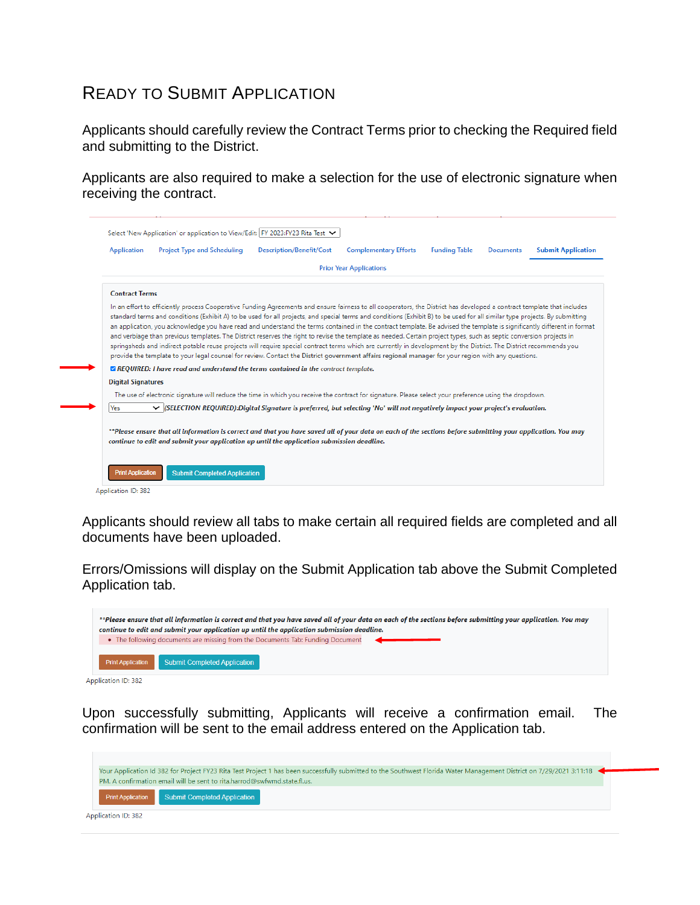### <span id="page-15-0"></span>READY TO SUBMIT APPLICATION

Applicants should carefully review the Contract Terms prior to checking the Required field and submitting to the District.

Applicants are also required to make a selection for the use of electronic signature when receiving the contract.

| <b>Application</b>        | <b>Project Type and Scheduling</b>                                                                                                                                                                                                                                                                                                                                                                                                                                                                                                                                                                                                                                                                                                                                                                                                                                                                                                                           | <b>Description/Benefit/Cost</b> | <b>Complementary Efforts</b>   | <b>Funding Table</b> | <b>Documents</b> | <b>Submit Application</b> |
|---------------------------|--------------------------------------------------------------------------------------------------------------------------------------------------------------------------------------------------------------------------------------------------------------------------------------------------------------------------------------------------------------------------------------------------------------------------------------------------------------------------------------------------------------------------------------------------------------------------------------------------------------------------------------------------------------------------------------------------------------------------------------------------------------------------------------------------------------------------------------------------------------------------------------------------------------------------------------------------------------|---------------------------------|--------------------------------|----------------------|------------------|---------------------------|
|                           |                                                                                                                                                                                                                                                                                                                                                                                                                                                                                                                                                                                                                                                                                                                                                                                                                                                                                                                                                              |                                 | <b>Prior Year Applications</b> |                      |                  |                           |
| <b>Contract Terms</b>     |                                                                                                                                                                                                                                                                                                                                                                                                                                                                                                                                                                                                                                                                                                                                                                                                                                                                                                                                                              |                                 |                                |                      |                  |                           |
|                           | standard terms and conditions (Exhibit A) to be used for all projects, and special terms and conditions (Exhibit B) to be used for all similar type projects. By submitting<br>an application, you acknowledge you have read and understand the terms contained in the contract template. Be advised the template is significantly different in format<br>and verbiage than previous templates. The District reserves the right to revise the template as needed. Certain project types, such as septic conversion projects in<br>springsheds and indirect potable reuse projects will require special contract terms which are currently in development by the District. The District recommends you<br>provide the template to your legal counsel for review. Contact the District government affairs regional manager for your region with any questions.<br><b>ZA REQUIRED:</b> I have read and understand the terms contained in the contract template. |                                 |                                |                      |                  |                           |
|                           |                                                                                                                                                                                                                                                                                                                                                                                                                                                                                                                                                                                                                                                                                                                                                                                                                                                                                                                                                              |                                 |                                |                      |                  |                           |
| <b>Digital Signatures</b> | The use of electronic signature will reduce the time in which you receive the contract for signature. Please select your preference using the dropdown.                                                                                                                                                                                                                                                                                                                                                                                                                                                                                                                                                                                                                                                                                                                                                                                                      |                                 |                                |                      |                  |                           |
| Yes                       | √ (SELECTION REQUIRED):Digital Signature is preferred, but selecting 'No' will not negatively impact your project's evaluation.                                                                                                                                                                                                                                                                                                                                                                                                                                                                                                                                                                                                                                                                                                                                                                                                                              |                                 |                                |                      |                  |                           |

Applicants should review all tabs to make certain all required fields are completed and all documents have been uploaded.

Errors/Omissions will display on the Submit Application tab above the Submit Completed Application tab.

| **Please ensure that all information is correct and that you have saved all of your data on each of the sections before submitting your application. You may<br>continue to edit and submit your application up until the application submission deadline. |  |
|------------------------------------------------------------------------------------------------------------------------------------------------------------------------------------------------------------------------------------------------------------|--|
| • The following documents are missing from the Documents Tab: Funding Document                                                                                                                                                                             |  |
| <b>Print Application</b> Submit Completed Application                                                                                                                                                                                                      |  |

Application ID: 382

Upon successfully submitting, Applicants will receive a confirmation email. The confirmation will be sent to the email address entered on the Application tab.

|                            | PM. A confirmation email will be sent to rita.harrod@swfwmd.state.fl.us. | Your Application Id 382 for Project FY23 Rita Test Project 1 has been successfully submitted to the Southwest Florida Water Management District on 7/29/2021 3:11:18 |  |
|----------------------------|--------------------------------------------------------------------------|----------------------------------------------------------------------------------------------------------------------------------------------------------------------|--|
|                            | <b>Print Application</b> Submit Completed Application                    |                                                                                                                                                                      |  |
| <b>Application ID: 382</b> |                                                                          |                                                                                                                                                                      |  |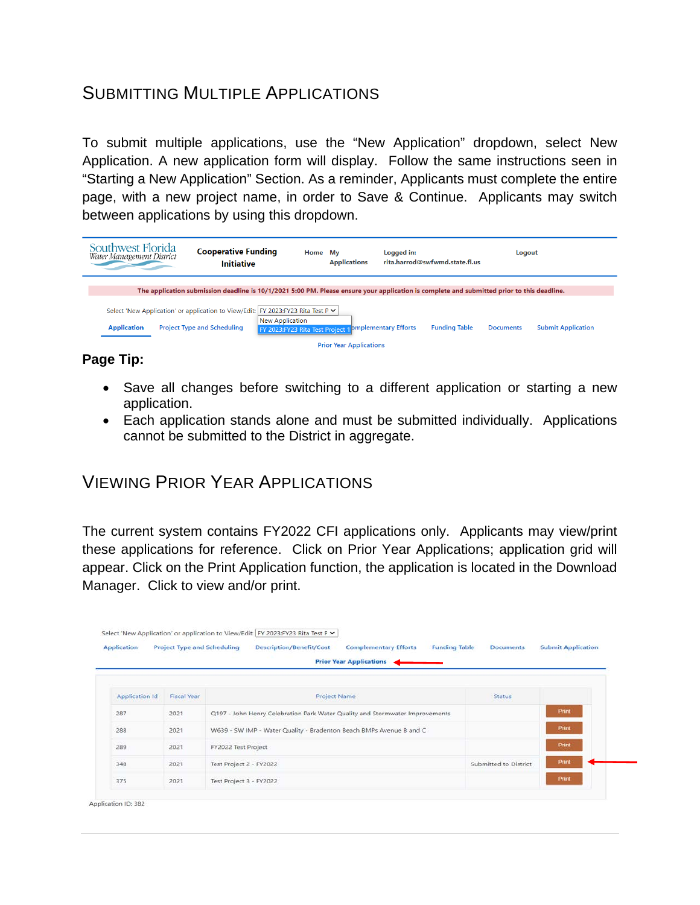### <span id="page-16-0"></span>SUBMITTING MULTIPLE APPLICATIONS

To submit multiple applications, use the "New Application" dropdown, select New Application. A new application form will display. Follow the same instructions seen in "Starting a New Application" Section. As a reminder, Applicants must complete the entire page, with a new project name, in order to Save & Continue. Applicants may switch between applications by using this dropdown.

| Southwest Florida<br>Water Management District |                                    | <b>Cooperative Funding</b><br><b>Initiative</b> | Home                                                                                                                                                         | Mv | <b>Applications</b>            | Logged in: | rita.harrod@swfwmd.state.fl.us | Logout           |                           |
|------------------------------------------------|------------------------------------|-------------------------------------------------|--------------------------------------------------------------------------------------------------------------------------------------------------------------|----|--------------------------------|------------|--------------------------------|------------------|---------------------------|
|                                                |                                    |                                                 | The application submission deadline is 10/1/2021 5:00 PM. Please ensure your application is complete and submitted prior to this deadline.                   |    |                                |            |                                |                  |                           |
| <b>Application</b>                             | <b>Project Type and Scheduling</b> |                                                 | Select 'New Application' or application to View/Edit: FY 2023:FY23 Rita Test P ▼<br>New Application<br>FY 2023:FY23 Rita Test Project 1 omplementary Efforts |    |                                |            | <b>Funding Table</b>           | <b>Documents</b> | <b>Submit Application</b> |
|                                                |                                    |                                                 |                                                                                                                                                              |    | <b>Prior Year Applications</b> |            |                                |                  |                           |

#### **Page Tip:**

- Save all changes before switching to a different application or starting a new application.
- Each application stands alone and must be submitted individually. Applications cannot be submitted to the District in aggregate.

### <span id="page-16-1"></span>VIEWING PRIOR YEAR APPLICATIONS

The current system contains FY2022 CFI applications only. Applicants may view/print these applications for reference. Click on Prior Year Applications; application grid will appear. Click on the Print Application function, the application is located in the Download Manager. Click to view and/or print.

| <b>Application</b> | <b>Project Type and Scheduling</b> | <b>Description/Benefit/Cost</b><br><b>Complementary Efforts</b><br><b>Funding Table</b> | <b>Documents</b>      | <b>Submit Application</b> |
|--------------------|------------------------------------|-----------------------------------------------------------------------------------------|-----------------------|---------------------------|
|                    |                                    | <b>Prior Year Applications</b>                                                          |                       |                           |
|                    |                                    |                                                                                         |                       |                           |
| Application Id     | <b>Fiscal Year</b>                 | <b>Project Name</b>                                                                     | <b>Status</b>         |                           |
| 287                | 2021                               | Q197 - John Henry Celebration Park Water Quality and Stormwater Improvements            |                       | Print                     |
| 288                | 2021                               | W639 - SW IMP - Water Quality - Bradenton Beach BMPs Avenue B and C                     |                       | Print                     |
| 289                | 2021                               | FY2022 Test Project                                                                     |                       | Print                     |
| 348                | 2021                               | Test Project 2 - FY2022                                                                 | Submitted to District | Print                     |
| 375                | 2021                               | Test Project 3 - FY2022                                                                 |                       | Print                     |

Application ID: 382